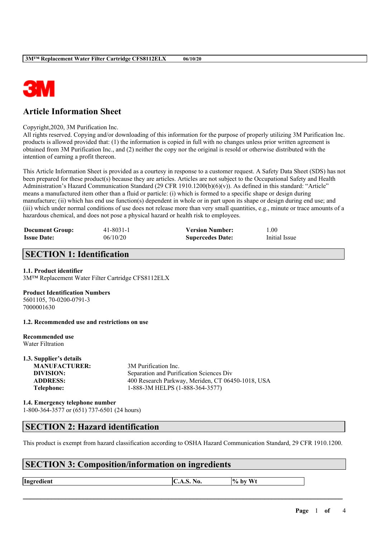

# **Article Information Sheet**

Copyright,2020, 3M Purification Inc.

All rights reserved. Copying and/or downloading of this information for the purpose of properly utilizing 3M Purification Inc. products is allowed provided that: (1) the information is copied in full with no changes unless prior written agreement is obtained from 3M Purification Inc., and (2) neither the copy nor the original is resold or otherwise distributed with the intention of earning a profit thereon.

This Article Information Sheet is provided as a courtesy in response to a customer request. A Safety Data Sheet (SDS) has not been prepared for these product(s) because they are articles. Articles are not subject to the Occupational Safety and Health Administration's Hazard Communication Standard (29 CFR 1910.1200(b)(6)(v)). As defined in this standard: "Article" means a manufactured item other than a fluid or particle: (i) which is formed to a specific shape or design during manufacture; (ii) which has end use function(s) dependent in whole or in part upon its shape or design during end use; and (iii) which under normal conditions of use does not release more than very small quantities, e.g., minute or trace amounts of a hazardous chemical, and does not pose a physical hazard or health risk to employees.

| <b>Document Group:</b> | 41-8031-1 | <b>Version Number:</b>  | 00.1          |
|------------------------|-----------|-------------------------|---------------|
| <b>Issue Date:</b>     | 06/10/20  | <b>Supercedes Date:</b> | Initial Issue |

# **SECTION 1: Identification**

### **1.1. Product identifier**

3M™ Replacement Water Filter Cartridge CFS8112ELX

### **Product Identification Numbers**

5601105, 70-0200-0791-3 7000001630

**1.2. Recommended use and restrictions on use**

#### **Recommended use** Water Filtration

**1.3. Supplier's details MANUFACTURER:** 3M Purification Inc. **DIVISION:** Separation and Purification Sciences Div **ADDRESS:** 400 Research Parkway, Meriden, CT 06450-1018, USA **Telephone:** 1-888-3M HELPS (1-888-364-3577)

**1.4. Emergency telephone number** 1-800-364-3577 or (651) 737-6501 (24 hours)

# **SECTION 2: Hazard identification**

This product is exempt from hazard classification according to OSHA Hazard Communication Standard, 29 CFR 1910.1200.

### **SECTION 3: Composition/information on ingredients**

**Ingredient**  $\begin{bmatrix} \text{C.A.S. No.} \\ \text{A.05.} \end{bmatrix}$  **by** Wt

 $\mathcal{L}_\mathcal{L} = \mathcal{L}_\mathcal{L} = \mathcal{L}_\mathcal{L} = \mathcal{L}_\mathcal{L} = \mathcal{L}_\mathcal{L} = \mathcal{L}_\mathcal{L} = \mathcal{L}_\mathcal{L} = \mathcal{L}_\mathcal{L} = \mathcal{L}_\mathcal{L} = \mathcal{L}_\mathcal{L} = \mathcal{L}_\mathcal{L} = \mathcal{L}_\mathcal{L} = \mathcal{L}_\mathcal{L} = \mathcal{L}_\mathcal{L} = \mathcal{L}_\mathcal{L} = \mathcal{L}_\mathcal{L} = \mathcal{L}_\mathcal{L}$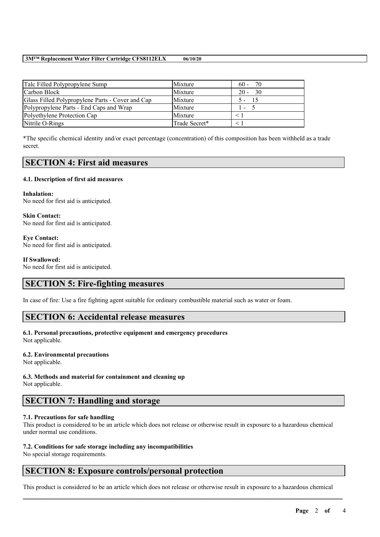#### **3M™ Replacement Water Filter Cartridge CFS8112ELX 06/10/20**

| Talc Filled Polypropylene Sump                   | Mixture       | 70<br>$60 -$   |
|--------------------------------------------------|---------------|----------------|
| Carbon Block                                     | Mixture       | - 30<br>$20 -$ |
| Glass Filled Polypropylene Parts - Cover and Cap | Mixture       | -15<br>$5 -$   |
| Polypropylene Parts - End Caps and Wrap          | Mixture       | ı –            |
| Polyethylene Protection Cap                      | Mixture       |                |
| Nitrile O-Rings                                  | Trade Secret* |                |

\*The specific chemical identity and/or exact percentage (concentration) of this composition has been withheld as a trade secret.

## **SECTION 4: First aid measures**

### **4.1. Description of first aid measures**

**Inhalation:** No need for first aid is anticipated.

**Skin Contact:** No need for first aid is anticipated.

**Eye Contact:** No need for first aid is anticipated.

**If Swallowed:** No need for first aid is anticipated.

# **SECTION 5: Fire-fighting measures**

In case of fire: Use a fire fighting agent suitable for ordinary combustible material such as water or foam.

### **SECTION 6: Accidental release measures**

### **6.1. Personal precautions, protective equipment and emergency procedures**

Not applicable.

### **6.2. Environmental precautions**

Not applicable.

### **6.3. Methods and material for containment and cleaning up**

Not applicable.

# **SECTION 7: Handling and storage**

### **7.1. Precautions for safe handling**

This product is considered to be an article which does not release or otherwise result in exposure to a hazardous chemical under normal use conditions.

### **7.2. Conditions for safe storage including any incompatibilities**

No special storage requirements.

# **SECTION 8: Exposure controls/personal protection**

This product is considered to be an article which does not release or otherwise result in exposure to a hazardous chemical

 $\mathcal{L}_\mathcal{L} = \mathcal{L}_\mathcal{L} = \mathcal{L}_\mathcal{L} = \mathcal{L}_\mathcal{L} = \mathcal{L}_\mathcal{L} = \mathcal{L}_\mathcal{L} = \mathcal{L}_\mathcal{L} = \mathcal{L}_\mathcal{L} = \mathcal{L}_\mathcal{L} = \mathcal{L}_\mathcal{L} = \mathcal{L}_\mathcal{L} = \mathcal{L}_\mathcal{L} = \mathcal{L}_\mathcal{L} = \mathcal{L}_\mathcal{L} = \mathcal{L}_\mathcal{L} = \mathcal{L}_\mathcal{L} = \mathcal{L}_\mathcal{L}$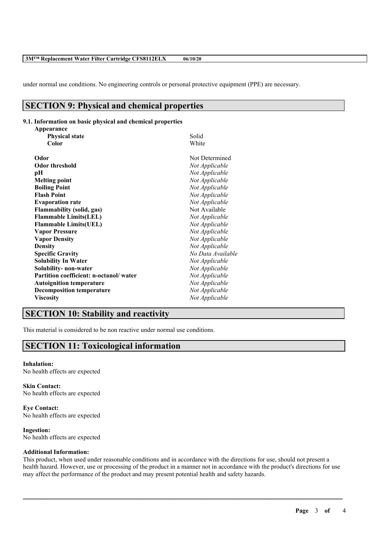#### **3M™ Replacement Water Filter Cartridge CFS8112ELX 06/10/20**

under normal use conditions. No engineering controls or personal protective equipment (PPE) are necessary.

# **SECTION 9: Physical and chemical properties**

### **9.1. Information on basic physical and chemical properties**

| Solid             |
|-------------------|
| White             |
| Not Determined    |
| Not Applicable    |
| Not Applicable    |
| Not Applicable    |
| Not Applicable    |
| Not Applicable    |
| Not Applicable    |
| Not Available     |
| Not Applicable    |
| Not Applicable    |
| Not Applicable    |
| Not Applicable    |
| Not Applicable    |
| No Data Available |
| Not Applicable    |
| Not Applicable    |
| Not Applicable    |
| Not Applicable    |
| Not Applicable    |
| Not Applicable    |
|                   |

# **SECTION 10: Stability and reactivity**

This material is considered to be non reactive under normal use conditions.

# **SECTION 11: Toxicological information**

## **Inhalation:**

No health effects are expected

**Skin Contact:** No health effects are expected

**Eye Contact:** No health effects are expected

**Ingestion:** No health effects are expected

### **Additional Information:**

This product, when used under reasonable conditions and in accordance with the directions for use, should not present a health hazard. However, use or processing of the product in a manner not in accordance with the product's directions for use may affect the performance of the product and may present potential health and safety hazards.

 $\mathcal{L}_\mathcal{L} = \mathcal{L}_\mathcal{L} = \mathcal{L}_\mathcal{L} = \mathcal{L}_\mathcal{L} = \mathcal{L}_\mathcal{L} = \mathcal{L}_\mathcal{L} = \mathcal{L}_\mathcal{L} = \mathcal{L}_\mathcal{L} = \mathcal{L}_\mathcal{L} = \mathcal{L}_\mathcal{L} = \mathcal{L}_\mathcal{L} = \mathcal{L}_\mathcal{L} = \mathcal{L}_\mathcal{L} = \mathcal{L}_\mathcal{L} = \mathcal{L}_\mathcal{L} = \mathcal{L}_\mathcal{L} = \mathcal{L}_\mathcal{L}$